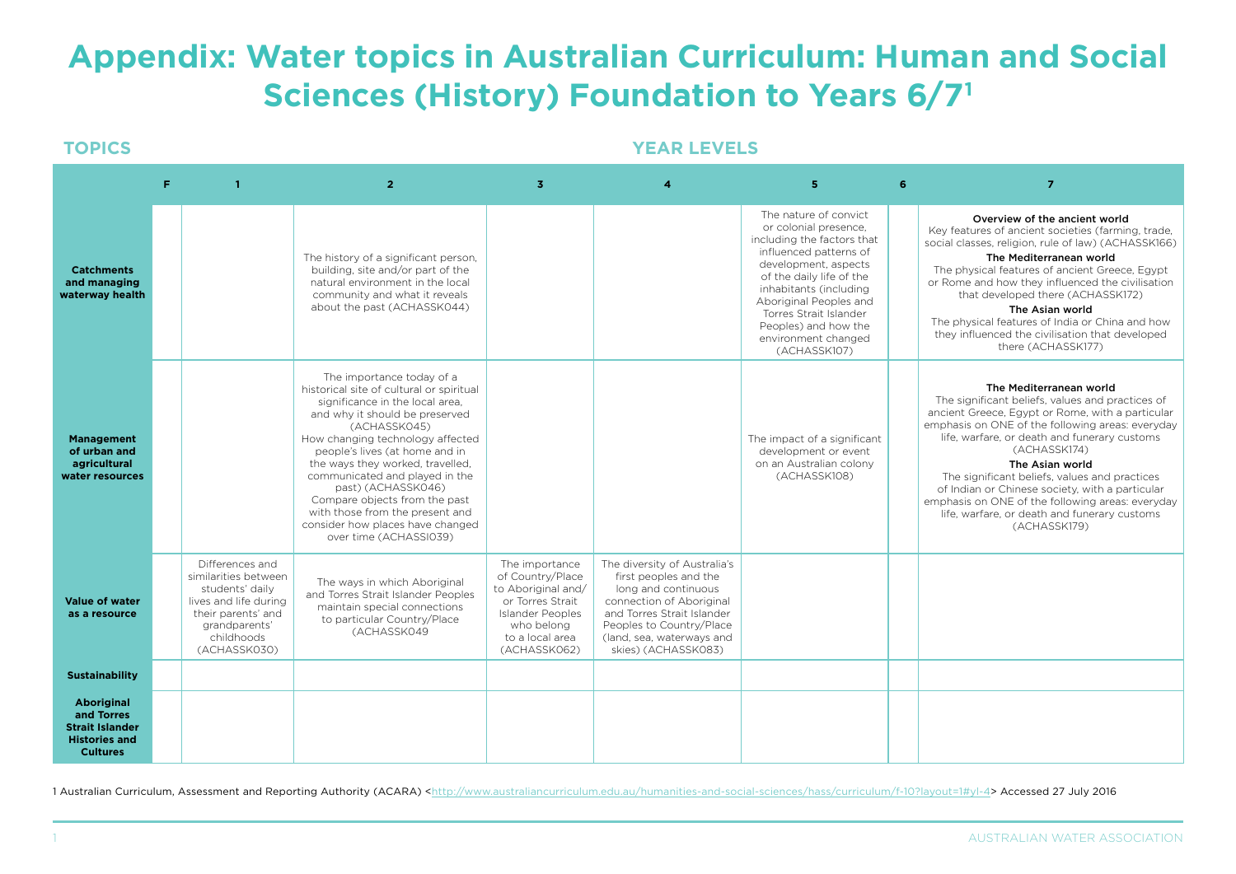# **Appendix: Water topics in Australian Curriculum: Human and Social Sciences (History) Foundation to Years 6/71**

### **TOPICS YEAR LEVELS**

|                                                                                               | F. |                                                                                                                                                          | $\overline{2}$                                                                                                                                                                                                                                                                                                                                                                                                                                                 | $\overline{\mathbf{3}}$                                                                                                                                  |                                                                                                                                                                                                                        | 5                                                                                                                                                                                                                                                                                                       | $\overline{7}$                                                                                                                                                                                                                                                                                                                                                                                                                                                                                 |
|-----------------------------------------------------------------------------------------------|----|----------------------------------------------------------------------------------------------------------------------------------------------------------|----------------------------------------------------------------------------------------------------------------------------------------------------------------------------------------------------------------------------------------------------------------------------------------------------------------------------------------------------------------------------------------------------------------------------------------------------------------|----------------------------------------------------------------------------------------------------------------------------------------------------------|------------------------------------------------------------------------------------------------------------------------------------------------------------------------------------------------------------------------|---------------------------------------------------------------------------------------------------------------------------------------------------------------------------------------------------------------------------------------------------------------------------------------------------------|------------------------------------------------------------------------------------------------------------------------------------------------------------------------------------------------------------------------------------------------------------------------------------------------------------------------------------------------------------------------------------------------------------------------------------------------------------------------------------------------|
| <b>Catchments</b><br>and managing<br>waterway health                                          |    |                                                                                                                                                          | The history of a significant person,<br>building, site and/or part of the<br>natural environment in the local<br>community and what it reveals<br>about the past (ACHASSK044)                                                                                                                                                                                                                                                                                  |                                                                                                                                                          |                                                                                                                                                                                                                        | The nature of convict<br>or colonial presence,<br>including the factors that<br>influenced patterns of<br>development, aspects<br>of the daily life of the<br>inhabitants (including<br>Aboriginal Peoples and<br>Torres Strait Islander<br>Peoples) and how the<br>environment changed<br>(ACHASSK107) | Overview of the ancient world<br>Key features of ancient societies (farming, trade,<br>social classes, religion, rule of law) (ACHASSK166)<br>The Mediterranean world<br>The physical features of ancient Greece, Egypt<br>or Rome and how they influenced the civilisation<br>that developed there (ACHASSK172)<br>The Asian world<br>The physical features of India or China and how<br>they influenced the civilisation that developed<br>there (ACHASSK177)                                |
| <b>Management</b><br>of urban and<br>agricultural<br>water resources                          |    |                                                                                                                                                          | The importance today of a<br>historical site of cultural or spiritual<br>significance in the local area,<br>and why it should be preserved<br>(ACHASSK045)<br>How changing technology affected<br>people's lives (at home and in<br>the ways they worked, travelled,<br>communicated and played in the<br>past) (ACHASSK046)<br>Compare objects from the past<br>with those from the present and<br>consider how places have changed<br>over time (ACHASSI039) |                                                                                                                                                          |                                                                                                                                                                                                                        | The impact of a significant<br>development or event<br>on an Australian colony<br>(ACHASSK108)                                                                                                                                                                                                          | The Mediterranean world<br>The significant beliefs, values and practices of<br>ancient Greece, Egypt or Rome, with a particular<br>emphasis on ONE of the following areas: everyday<br>life, warfare, or death and funerary customs<br>(ACHASSK174)<br>The Asian world<br>The significant beliefs, values and practices<br>of Indian or Chinese society, with a particular<br>emphasis on ONE of the following areas: everyday<br>life, warfare, or death and funerary customs<br>(ACHASSK179) |
| <b>Value of water</b><br>as a resource                                                        |    | Differences and<br>similarities between<br>students' daily<br>lives and life during<br>their parents' and<br>grandparents'<br>childhoods<br>(ACHASSK030) | The ways in which Aboriginal<br>and Torres Strait Islander Peoples<br>maintain special connections<br>to particular Country/Place<br>(ACHASSK049                                                                                                                                                                                                                                                                                                               | The importance<br>of Country/Place<br>to Aboriginal and/<br>or Torres Strait<br><b>Islander Peoples</b><br>who belong<br>to a local area<br>(ACHASSK062) | The diversity of Australia's<br>first peoples and the<br>long and continuous<br>connection of Aboriginal<br>and Torres Strait Islander<br>Peoples to Country/Place<br>(land, sea, waterways and<br>skies) (ACHASSK083) |                                                                                                                                                                                                                                                                                                         |                                                                                                                                                                                                                                                                                                                                                                                                                                                                                                |
| <b>Sustainability</b>                                                                         |    |                                                                                                                                                          |                                                                                                                                                                                                                                                                                                                                                                                                                                                                |                                                                                                                                                          |                                                                                                                                                                                                                        |                                                                                                                                                                                                                                                                                                         |                                                                                                                                                                                                                                                                                                                                                                                                                                                                                                |
| Aboriginal<br>and Torres<br><b>Strait Islander</b><br><b>Histories and</b><br><b>Cultures</b> |    |                                                                                                                                                          |                                                                                                                                                                                                                                                                                                                                                                                                                                                                |                                                                                                                                                          |                                                                                                                                                                                                                        |                                                                                                                                                                                                                                                                                                         |                                                                                                                                                                                                                                                                                                                                                                                                                                                                                                |

1 Australian Curriculum, Assessment and Reporting Authority (ACARA) <[http://www.australiancurriculum.edu.au/humanities-and-social-sciences/hass/curriculum/f-10?layout=1#yl-4>](http://www.australiancurriculum.edu.au/humanities-and-social-sciences/hass/curriculum/f-10?layout=1#yl-4) Accessed 27 July 2016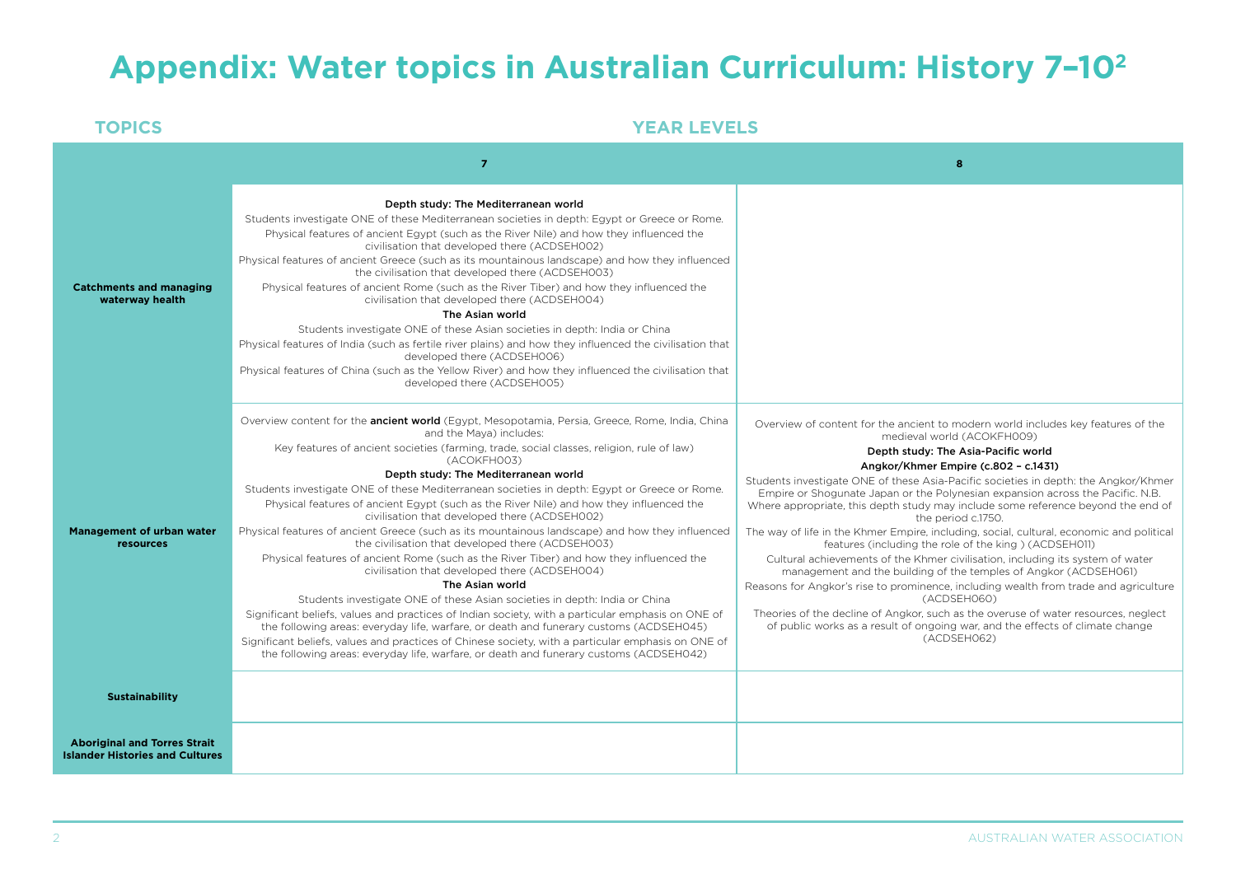## **Appendix: Water topics in Australian Curriculum: History 7–102**

**TOPICS YEAR LEVELS**

|                                                                               | $\overline{7}$                                                                                                                                                                                                                                                                                                                                                                                                                                                                                                                                                                                                                                                                                                                                                                                                                                                                                                                                                                                                                                                                                                                                                                                                                                                                                                                       | 8                                                                                                                                                                                                                                                                                                                                                                                                                                                                                                                                                                                                                                                                                                                                                                                                                                                                                                                                                                                                                                                                                        |
|-------------------------------------------------------------------------------|--------------------------------------------------------------------------------------------------------------------------------------------------------------------------------------------------------------------------------------------------------------------------------------------------------------------------------------------------------------------------------------------------------------------------------------------------------------------------------------------------------------------------------------------------------------------------------------------------------------------------------------------------------------------------------------------------------------------------------------------------------------------------------------------------------------------------------------------------------------------------------------------------------------------------------------------------------------------------------------------------------------------------------------------------------------------------------------------------------------------------------------------------------------------------------------------------------------------------------------------------------------------------------------------------------------------------------------|------------------------------------------------------------------------------------------------------------------------------------------------------------------------------------------------------------------------------------------------------------------------------------------------------------------------------------------------------------------------------------------------------------------------------------------------------------------------------------------------------------------------------------------------------------------------------------------------------------------------------------------------------------------------------------------------------------------------------------------------------------------------------------------------------------------------------------------------------------------------------------------------------------------------------------------------------------------------------------------------------------------------------------------------------------------------------------------|
| <b>Catchments and managing</b><br>waterway health                             | Depth study: The Mediterranean world<br>Students investigate ONE of these Mediterranean societies in depth: Egypt or Greece or Rome.<br>Physical features of ancient Egypt (such as the River Nile) and how they influenced the<br>civilisation that developed there (ACDSEH002)<br>Physical features of ancient Greece (such as its mountainous landscape) and how they influenced<br>the civilisation that developed there (ACDSEH003)<br>Physical features of ancient Rome (such as the River Tiber) and how they influenced the<br>civilisation that developed there (ACDSEH004)<br>The Asian world<br>Students investigate ONE of these Asian societies in depth: India or China<br>Physical features of India (such as fertile river plains) and how they influenced the civilisation that<br>developed there (ACDSEH006)<br>Physical features of China (such as the Yellow River) and how they influenced the civilisation that<br>developed there (ACDSEH005)                                                                                                                                                                                                                                                                                                                                                                |                                                                                                                                                                                                                                                                                                                                                                                                                                                                                                                                                                                                                                                                                                                                                                                                                                                                                                                                                                                                                                                                                          |
| <b>Management of urban water</b><br>resources                                 | Overview content for the <b>ancient world</b> (Egypt, Mesopotamia, Persia, Greece, Rome, India, China<br>and the Maya) includes:<br>Key features of ancient societies (farming, trade, social classes, religion, rule of law)<br>(ACOKFH003)<br>Depth study: The Mediterranean world<br>Students investigate ONE of these Mediterranean societies in depth: Egypt or Greece or Rome.<br>Physical features of ancient Egypt (such as the River Nile) and how they influenced the<br>civilisation that developed there (ACDSEH002)<br>Physical features of ancient Greece (such as its mountainous landscape) and how they influenced<br>the civilisation that developed there (ACDSEH003)<br>Physical features of ancient Rome (such as the River Tiber) and how they influenced the<br>civilisation that developed there (ACDSEH004)<br>The Asian world<br>Students investigate ONE of these Asian societies in depth: India or China<br>Significant beliefs, values and practices of Indian society, with a particular emphasis on ONE of<br>the following areas: everyday life, warfare, or death and funerary customs (ACDSEH045)<br>Significant beliefs, values and practices of Chinese society, with a particular emphasis on ONE of<br>the following areas: everyday life, warfare, or death and funerary customs (ACDSEH042) | Overview of content for the ancient to modern world includes key features of the<br>medieval world (ACOKFH009)<br>Depth study: The Asia-Pacific world<br>Angkor/Khmer Empire (c.802 - c.1431)<br>Students investigate ONE of these Asia-Pacific societies in depth: the Angkor/Khmer<br>Empire or Shogunate Japan or the Polynesian expansion across the Pacific. N.B.<br>Where appropriate, this depth study may include some reference beyond the end of<br>the period c.1750.<br>The way of life in the Khmer Empire, including, social, cultural, economic and political<br>features (including the role of the king) (ACDSEH011)<br>Cultural achievements of the Khmer civilisation, including its system of water<br>management and the building of the temples of Angkor (ACDSEH061)<br>Reasons for Angkor's rise to prominence, including wealth from trade and agriculture<br>(ACDSEH060)<br>Theories of the decline of Angkor, such as the overuse of water resources, neglect<br>of public works as a result of ongoing war, and the effects of climate change<br>(ACDSEH062) |
| <b>Sustainability</b>                                                         |                                                                                                                                                                                                                                                                                                                                                                                                                                                                                                                                                                                                                                                                                                                                                                                                                                                                                                                                                                                                                                                                                                                                                                                                                                                                                                                                      |                                                                                                                                                                                                                                                                                                                                                                                                                                                                                                                                                                                                                                                                                                                                                                                                                                                                                                                                                                                                                                                                                          |
| <b>Aboriginal and Torres Strait</b><br><b>Islander Histories and Cultures</b> |                                                                                                                                                                                                                                                                                                                                                                                                                                                                                                                                                                                                                                                                                                                                                                                                                                                                                                                                                                                                                                                                                                                                                                                                                                                                                                                                      |                                                                                                                                                                                                                                                                                                                                                                                                                                                                                                                                                                                                                                                                                                                                                                                                                                                                                                                                                                                                                                                                                          |